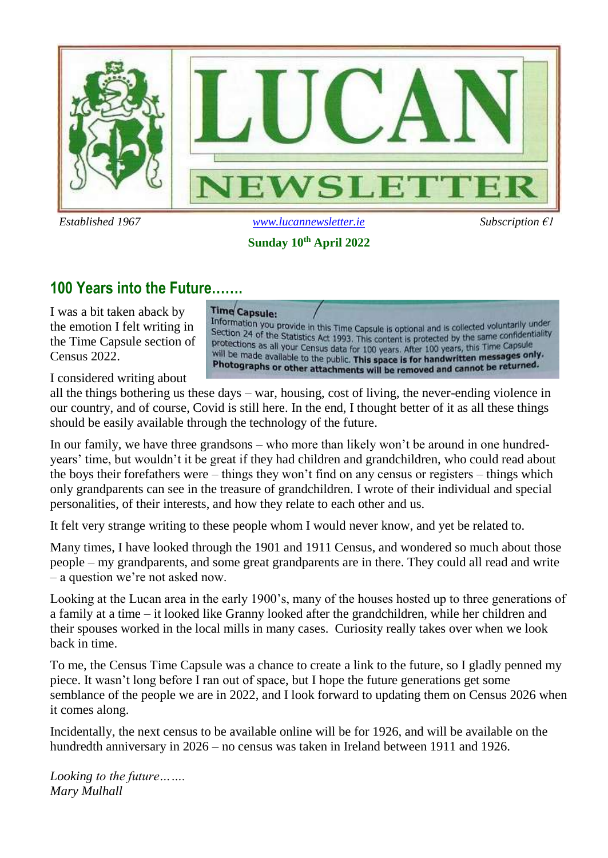

#### **Sunday 10th April 2022**

### **100 Years into the Future…….**

I was a bit taken aback by the emotion I felt writing in the Time Capsule section of Census 2022.

Time Capsule: Information you provide in this Time Capsule is optional and is collected voluntarily under<br>Section 24 of the Caritie in this Time Capsule is optional and is collected voluntarily under Section 24 of the Statistics Act 1993. This content is protected by the same confidentiality<br>protections protections as all your Census data for 100 years. After 100 years, this Time Capsule<br>will be made available to the public. This space is for handwritten messages only. Photographs or other attachments will be removed and cannot be returned.

I considered writing about

all the things bothering us these days – war, housing, cost of living, the never-ending violence in our country, and of course, Covid is still here. In the end, I thought better of it as all these things should be easily available through the technology of the future.

In our family, we have three grandsons – who more than likely won't be around in one hundredyears' time, but wouldn't it be great if they had children and grandchildren, who could read about the boys their forefathers were – things they won't find on any census or registers – things which only grandparents can see in the treasure of grandchildren. I wrote of their individual and special personalities, of their interests, and how they relate to each other and us.

It felt very strange writing to these people whom I would never know, and yet be related to.

Many times, I have looked through the 1901 and 1911 Census, and wondered so much about those people – my grandparents, and some great grandparents are in there. They could all read and write – a question we're not asked now.

Looking at the Lucan area in the early 1900's, many of the houses hosted up to three generations of a family at a time – it looked like Granny looked after the grandchildren, while her children and their spouses worked in the local mills in many cases. Curiosity really takes over when we look back in time.

To me, the Census Time Capsule was a chance to create a link to the future, so I gladly penned my piece. It wasn't long before I ran out of space, but I hope the future generations get some semblance of the people we are in 2022, and I look forward to updating them on Census 2026 when it comes along.

Incidentally, the next census to be available online will be for 1926, and will be available on the hundredth anniversary in 2026 – no census was taken in Ireland between 1911 and 1926.

*Looking to the future……. Mary Mulhall*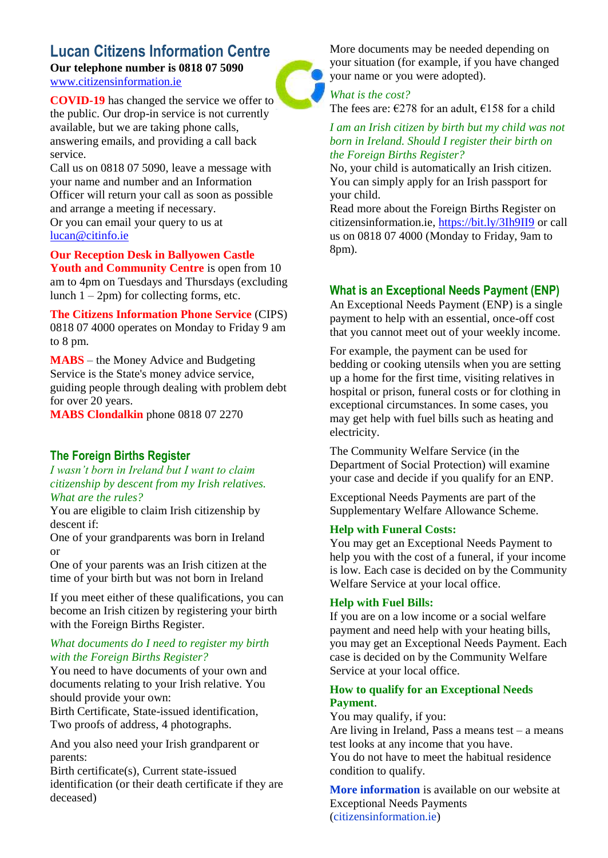### **Lucan Citizens Information Centre**

**Our telephone number is 0818 07 5090** [www.citizensinformation.ie](http://www.citizensinformation.ie/)

**COVID-19** has changed the service we offer to the public. Our drop-in service is not currently available, but we are taking phone calls, answering emails, and providing a call back service.

Call us on 0818 07 5090, leave a message with your name and number and an Information Officer will return your call as soon as possible and arrange a meeting if necessary. Or you can email your query to us at [lucan@citinfo.ie](mailto:lucan@citinfo.ie)

**Our Reception Desk in Ballyowen Castle Youth and Community Centre** is open from 10 am to 4pm on Tuesdays and Thursdays (excluding lunch  $1 - 2pm$ ) for collecting forms, etc.

**The Citizens Information Phone Service** (CIPS) 0818 07 4000 operates on Monday to Friday 9 am to 8 pm.

**MABS** – the Money Advice and Budgeting Service is the State's money advice service, guiding people through dealing with problem debt for over 20 years.

**MABS Clondalkin** phone 0818 07 2270

#### **The Foreign Births Register**

*I wasn't born in Ireland but I want to claim citizenship by descent from my Irish relatives. What are the rules?*

You are eligible to claim Irish citizenship by descent if:

One of your grandparents was born in Ireland or

One of your parents was an Irish citizen at the time of your birth but was not born in Ireland

If you meet either of these qualifications, you can become an Irish citizen by registering your birth with the Foreign Births Register.

#### *What documents do I need to register my birth with the Foreign Births Register?*

You need to have documents of your own and documents relating to your Irish relative. You should provide your own:

Birth Certificate, State-issued identification, Two proofs of address, 4 photographs.

And you also need your Irish grandparent or parents:

Birth certificate(s), Current state-issued identification (or their death certificate if they are deceased)

More documents may be needed depending on your situation (for example, if you have changed your name or you were adopted).

#### *What is the cost?*

The fees are:  $\epsilon$ 278 for an adult,  $\epsilon$ 158 for a child

#### *I am an Irish citizen by birth but my child was not born in Ireland. Should I register their birth on the Foreign Births Register?*

No, your child is automatically an Irish citizen. You can simply apply for an Irish passport for your child.

Read more about the Foreign Births Register on citizensinformation.ie,<https://bit.ly/3Ih9II9> or call us on 0818 07 4000 (Monday to Friday, 9am to 8pm).

#### **What is an Exceptional Needs Payment (ENP)**

An Exceptional Needs Payment (ENP) is a single payment to help with an essential, once-off cost that you cannot meet out of your weekly income.

For example, the payment can be used for bedding or cooking utensils when you are setting up a home for the first time, visiting relatives in hospital or prison, funeral costs or for clothing in exceptional circumstances. In some cases, you may get help with fuel bills such as heating and electricity.

The Community Welfare Service (in the Department of Social Protection) will examine your case and decide if you qualify for an ENP.

Exceptional Needs Payments are part of the Supplementary Welfare Allowance Scheme.

#### **Help with Funeral Costs:**

You may get an Exceptional Needs Payment to help you with the cost of a funeral, if your income is low. Each case is decided on by the Community Welfare Service at your local office.

#### **Help with Fuel Bills:**

If you are on a low income or a social welfare payment and need help with your heating bills, you may get an Exceptional Needs Payment. Each case is decided on by the Community Welfare Service at your local office.

#### **How to qualify for an Exceptional Needs Payment**.

You may qualify, if you:

Are living in Ireland, Pass a means test – a means test looks at any income that you have. You do not have to meet the habitual residence condition to qualify.

**More information** is available on our website at Exceptional Needs Payments (citizensinformation.ie)

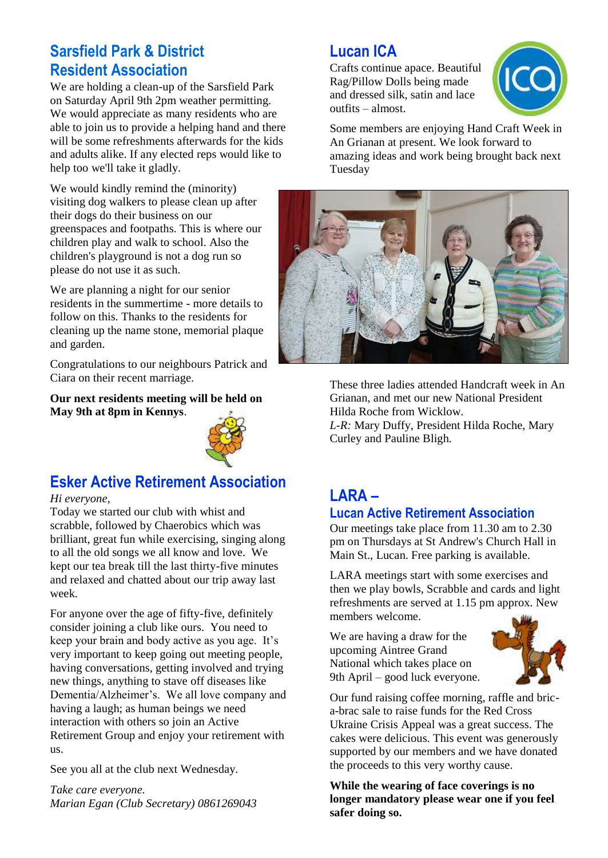### **Sarsfield Park & District Resident Association**

We are holding a clean-up of the Sarsfield Park on Saturday April 9th 2pm weather permitting. We would appreciate as many residents who are able to join us to provide a helping hand and there will be some refreshments afterwards for the kids and adults alike. If any elected reps would like to help too we'll take it gladly.

We would kindly remind the (minority) visiting dog walkers to please clean up after their dogs do their business on our greenspaces and footpaths. This is where our children play and walk to school. Also the children's playground is not a dog run so please do not use it as such.

We are planning a night for our senior residents in the summertime - more details to follow on this. Thanks to the residents for cleaning up the name stone, memorial plaque and garden.

Congratulations to our neighbours Patrick and Ciara on their recent marriage.

**Our next residents meeting will be held on May 9th at 8pm in Kennys**.



### **Esker Active Retirement Association**

#### *Hi everyone,*

Today we started our club with whist and scrabble, followed by Chaerobics which was brilliant, great fun while exercising, singing along to all the old songs we all know and love. We kept our tea break till the last thirty-five minutes and relaxed and chatted about our trip away last week.

For anyone over the age of fifty-five, definitely consider joining a club like ours. You need to keep your brain and body active as you age. It's very important to keep going out meeting people, having conversations, getting involved and trying new things, anything to stave off diseases like Dementia/Alzheimer's. We all love company and having a laugh; as human beings we need interaction with others so join an Active Retirement Group and enjoy your retirement with us.

See you all at the club next Wednesday.

*Take care everyone. Marian Egan (Club Secretary) 0861269043*

### **Lucan ICA**

Crafts continue apace. Beautiful Rag/Pillow Dolls being made and dressed silk, satin and lace outfits – almost.



Some members are enjoying Hand Craft Week in An Grianan at present. We look forward to amazing ideas and work being brought back next Tuesday



These three ladies attended Handcraft week in An Grianan, and met our new National President Hilda Roche from Wicklow.

*L-R:* Mary Duffy, President Hilda Roche, Mary Curley and Pauline Bligh.

### **LARA –**

### **Lucan Active Retirement Association**

Our meetings take place from 11.30 am to 2.30 pm on Thursdays at St Andrew's Church Hall in Main St., Lucan. Free parking is available.

LARA meetings start with some exercises and then we play bowls, Scrabble and cards and light refreshments are served at 1.15 pm approx. New members welcome.

We are having a draw for the upcoming Aintree Grand National which takes place on 9th April – good luck everyone.



Our fund raising coffee morning, raffle and brica-brac sale to raise funds for the Red Cross Ukraine Crisis Appeal was a great success. The cakes were delicious. This event was generously supported by our members and we have donated the proceeds to this very worthy cause.

**While the wearing of face coverings is no longer mandatory please wear one if you feel safer doing so.**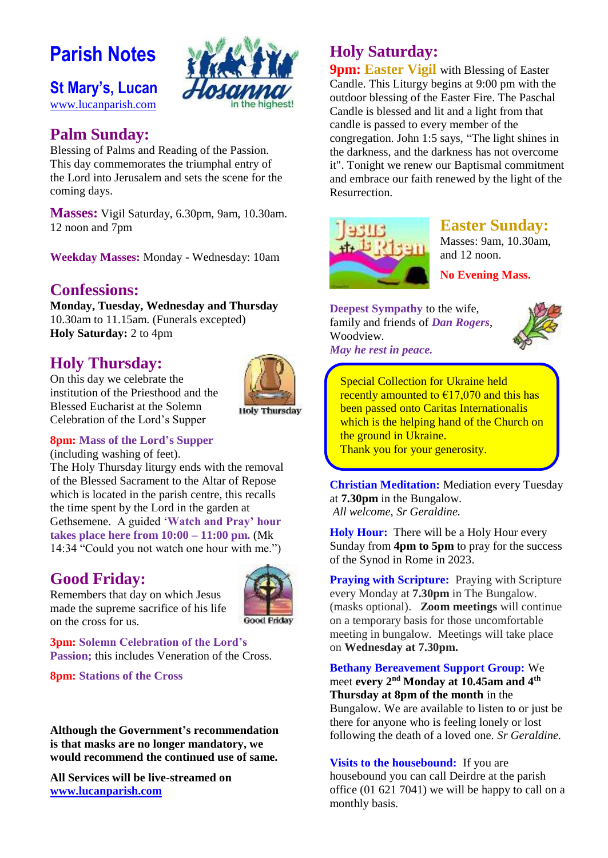## **Parish Notes**

### **St Mary's, Lucan**

[www.lucanparish.com](http://www.lucanparish.com/)

### **Palm Sunday:**

Blessing of Palms and Reading of the Passion. This day commemorates the triumphal entry of the Lord into Jerusalem and sets the scene for the coming days.

**Masses:** Vigil Saturday, 6.30pm, 9am, 10.30am. 12 noon and 7pm

**Weekday Masses:** Monday - Wednesday: 10am

### **Confessions:**

**Monday, Tuesday, Wednesday and Thursday** 10.30am to 11.15am. (Funerals excepted) **Holy Saturday:** 2 to 4pm

### **Holy Thursday:**

On this day we celebrate the institution of the Priesthood and the Blessed Eucharist at the Solemn Celebration of the Lord's Supper



#### **8pm: Mass of the Lord's Supper**

(including washing of feet).

The Holy Thursday liturgy ends with the removal of the Blessed Sacrament to the Altar of Repose which is located in the parish centre, this recalls the time spent by the Lord in the garden at Gethsemene. A guided '**Watch and Pray' hour takes place here from 10:00 – 11:00 pm.** (Mk 14:34 "Could you not watch one hour with me.")

### **Good Friday:**

on the cross for us.

Remembers that day on which Jesus made the supreme sacrifice of his life **Good Friday** 

**3pm: Solemn Celebration of the Lord's**  Passion; this includes Veneration of the Cross.

**8pm: Stations of the Cross**

**Although the Government's recommendation is that masks are no longer mandatory, we would recommend the continued use of same.**

**All Services will be live-streamed on [www.lucanparish.com](http://www.lucanparish.com/)**

### **Holy Saturday:**

**9pm: Easter Vigil** with Blessing of Easter Candle. This Liturgy begins at 9:00 pm with the outdoor blessing of the Easter Fire. The Paschal Candle is blessed and lit and a light from that candle is passed to every member of the congregation. John 1:5 says, "The light shines in the darkness, and the darkness has not overcome it". Tonight we renew our Baptismal commitment and embrace our faith renewed by the light of the Resurrection.



### **Easter Sunday:**

Masses: 9am, 10.30am, and 12 noon.

**No Evening Mass.**

**Deepest Sympathy** to the wife, family and friends of *Dan Rogers*, Woodview. *May he rest in peace.*



Special Collection for Ukraine held recently amounted to  $\epsilon$ 17,070 and this has been passed onto Caritas Internationalis which is the helping hand of the Church on the ground in Ukraine. Thank you for your generosity.

**Christian Meditation:** Mediation every Tuesday at **7.30pm** in the Bungalow. *All welcome, Sr Geraldine.*

**Holy Hour:** There will be a Holy Hour every Sunday from **4pm to 5pm** to pray for the success of the Synod in Rome in 2023.

**Praying with Scripture:** Praying with Scripture every Monday at **7.30pm** in The Bungalow. (masks optional). **Zoom meetings** will continue on a temporary basis for those uncomfortable meeting in bungalow. Meetings will take place on **Wednesday at 7.30pm.**

**Bethany Bereavement Support Group:** We meet **every 2nd Monday at 10.45am and 4th Thursday at 8pm of the month** in the Bungalow. We are available to listen to or just be there for anyone who is feeling lonely or lost following the death of a loved one. *Sr Geraldine.* 

**Visits to the housebound:** If you are housebound you can call Deirdre at the parish office (01 621 7041) we will be happy to call on a monthly basis.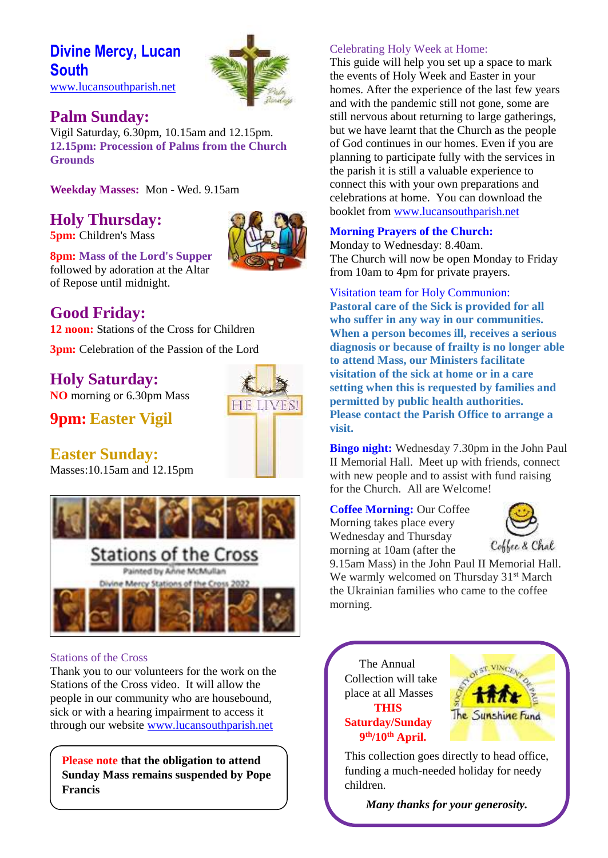## **Divine Mercy, Lucan South**



#### [www.lucansouthparish.net](http://www.lucansouthparish.net/)

### **Palm Sunday:**

Vigil Saturday, 6.30pm, 10.15am and 12.15pm. **12.15pm: Procession of Palms from the Church Grounds**

**Weekday Masses:** Mon - Wed. 9.15am

### **Holy Thursday:**

**5pm:** Children's Mass



HE LIVE

**8pm: Mass of the Lord's Supper** followed by adoration at the Altar of Repose until midnight.

### **Good Friday:**

**12 noon:** Stations of the Cross for Children

**3pm:** Celebration of the Passion of the Lord

### **Holy Saturday:**

**NO** morning or 6.30pm Mass

### **9pm: Easter Vigil**

### **Easter Sunday:**

Masses:10.15am and 12.15pm



#### Stations of the Cross

Thank you to our volunteers for the work on the Stations of the Cross video. It will allow the people in our community who are housebound, sick or with a hearing impairment to access it through our website [www.lucansouthparish.net](http://www.lucansouthparish.net/)

**Please note that the obligation to attend Sunday Mass remains suspended by Pope Francis** 

#### Celebrating Holy Week at Home:

This guide will help you set up a space to mark the events of Holy Week and Easter in your homes. After the experience of the last few years and with the pandemic still not gone, some are still nervous about returning to large gatherings, but we have learnt that the Church as the people of God continues in our homes. Even if you are planning to participate fully with the services in the parish it is still a valuable experience to connect this with your own preparations and celebrations at home. You can download the booklet from [www.lucansouthparish.net](http://www.lucansouthparish.net/)

#### **Morning Prayers of the Church:**

Monday to Wednesday: 8.40am. The Church will now be open Monday to Friday from 10am to 4pm for private prayers.

#### Visitation team for Holy Communion:

**Pastoral care of the Sick is provided for all who suffer in any way in our communities. When a person becomes ill, receives a serious diagnosis or because of frailty is no longer able to attend Mass, our Ministers facilitate visitation of the sick at home or in a care setting when this is requested by families and permitted by public health authorities. Please contact the Parish Office to arrange a visit.**

**Bingo night:** Wednesday 7.30pm in the John Paul II Memorial Hall. Meet up with friends, connect with new people and to assist with fund raising for the Church. All are Welcome!

**Coffee Morning:** Our Coffee Morning takes place every Wednesday and Thursday morning at 10am (after the



9.15am Mass) in the John Paul II Memorial Hall. We warmly welcomed on Thursday 31<sup>st</sup> March the Ukrainian families who came to the coffee morning.

 The Annual Collection will take place at all Masses  **THIS**

**Saturday/Sunday 9 th/10th April.** 



This collection goes directly to head office, funding a much-needed holiday for needy children.

*Many thanks for your generosity.*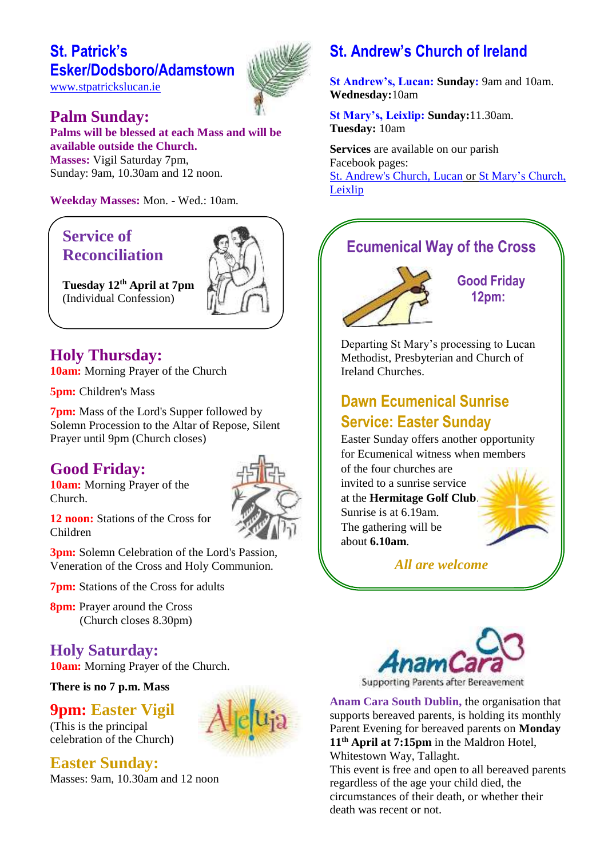### **St. Patrick's Esker/Dodsboro/Adamstown**

[www.stpatrickslucan.ie](http://www.stpatrickslucan.ie/)

### **Palm Sunday:**

**Palms will be blessed at each Mass and will be available outside the Church. Masses:** Vigil Saturday 7pm, Sunday: 9am, 10.30am and 12 noon.

**Weekday Masses:** Mon. - Wed.: 10am.

### **Service of Reconciliation**



**Tuesday 12th April at 7pm** (Individual Confession)

### **Holy Thursday:**

**10am:** Morning Prayer of the Church

**5pm:** Children's Mass

**7pm:** Mass of the Lord's Supper followed by Solemn Procession to the Altar of Repose, Silent Prayer until 9pm (Church closes)

### **Good Friday:**

**10am:** Morning Prayer of the Church.



**12 noon:** Stations of the Cross for Children

**3pm:** Solemn Celebration of the Lord's Passion, Veneration of the Cross and Holy Communion.

**7pm:** Stations of the Cross for adults

**8pm:** Prayer around the Cross (Church closes 8.30pm)

### **Holy Saturday:**

**10am:** Morning Prayer of the Church.

**There is no 7 p.m. Mass**

#### **9pm: Easter Vigil**

(This is the principal celebration of the Church)

### **Easter Sunday:**

Masses: 9am, 10.30am and 12 noon

## **St. Andrew's Church of Ireland**

**St Andrew's, Lucan: Sunday:** 9am and 10am. **Wednesday:**10am

**St Mary's, Leixlip: Sunday:**11.30am. **Tuesday:** 10am

**Services** are available on our parish Facebook pages: [St. Andrew's Church, Lucan](https://www.facebook.com/standrewslucan/) or [St Mary's Church,](https://www.facebook.com/stmarysleixlip/)  [Leixlip](https://www.facebook.com/stmarysleixlip/)

## **Ecumenical Way of the Cross**



 **Good Friday 12pm:**

Departing St Mary's processing to Lucan Methodist, Presbyterian and Church of Ireland Churches.

### **Dawn Ecumenical Sunrise Service: Easter Sunday**

Easter Sunday offers another opportunity for Ecumenical witness when members

of the four churches are invited to a sunrise service at the **Hermitage Golf Club**. Sunrise is at 6.19am. The gathering will be about **6.10am**.



*All are welcome*



**Anam Cara South Dublin,** the organisation that supports bereaved parents, is holding its monthly Parent Evening for bereaved parents on **Monday 11th April at 7:15pm** in the Maldron Hotel,

Whitestown Way, Tallaght.

This event is free and open to all bereaved parents regardless of the age your child died, the circumstances of their death, or whether their death was recent or not.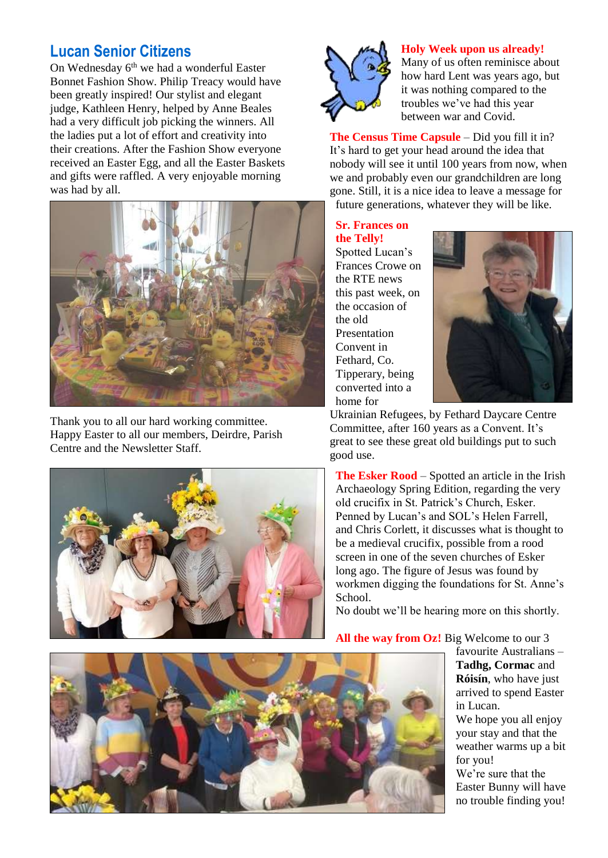### **Lucan Senior Citizens**

On Wednesday 6<sup>th</sup> we had a wonderful Easter Bonnet Fashion Show. Philip Treacy would have been greatly inspired! Our stylist and elegant judge, Kathleen Henry, helped by Anne Beales had a very difficult job picking the winners. All the ladies put a lot of effort and creativity into their creations. After the Fashion Show everyone received an Easter Egg, and all the Easter Baskets and gifts were raffled. A very enjoyable morning was had by all.



Thank you to all our hard working committee. Happy Easter to all our members, Deirdre, Parish Centre and the Newsletter Staff.





#### **Holy Week upon us already!**

Many of us often reminisce about how hard Lent was years ago, but it was nothing compared to the troubles we've had this year between war and Covid.

**The Census Time Capsule** – Did you fill it in? It's hard to get your head around the idea that nobody will see it until 100 years from now, when we and probably even our grandchildren are long gone. Still, it is a nice idea to leave a message for future generations, whatever they will be like.

#### **Sr. Frances on the Telly!**

Spotted Lucan's Frances Crowe on the RTE news this past week, on the occasion of the old Presentation Convent in Fethard, Co. Tipperary, being converted into a home for



Ukrainian Refugees, by Fethard Daycare Centre Committee, after 160 years as a Convent. It's great to see these great old buildings put to such good use.

**The Esker Rood** – Spotted an article in the Irish Archaeology Spring Edition, regarding the very old crucifix in St. Patrick's Church, Esker. Penned by Lucan's and SOL's Helen Farrell, and Chris Corlett, it discusses what is thought to be a medieval crucifix, possible from a rood screen in one of the seven churches of Esker long ago. The figure of Jesus was found by workmen digging the foundations for St. Anne's School.

No doubt we'll be hearing more on this shortly.

**All the way from Oz!** Big Welcome to our 3

favourite Australians – **Tadhg, Cormac** and **Róisín**, who have just arrived to spend Easter in Lucan.

We hope you all enjoy your stay and that the weather warms up a bit for you!

We're sure that the Easter Bunny will have no trouble finding you!

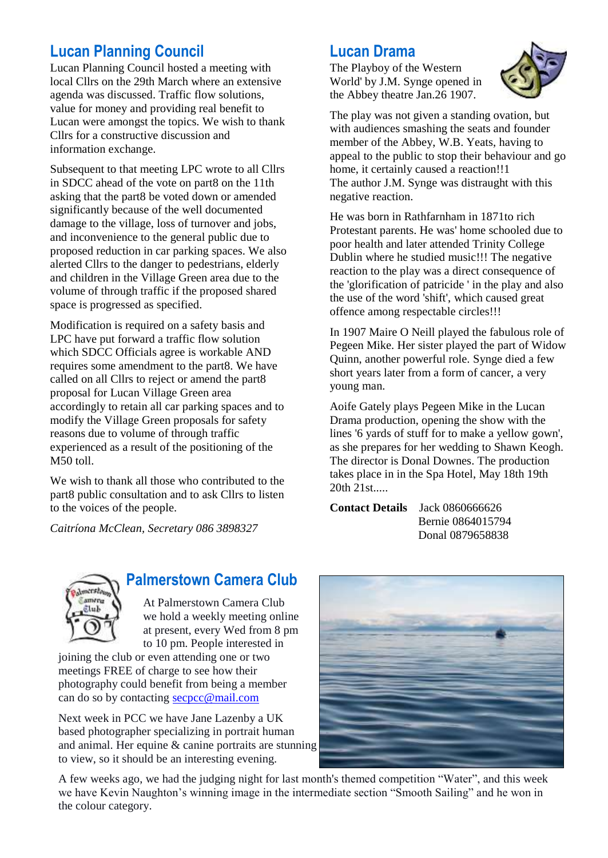### **Lucan Planning Council**

Lucan Planning Council hosted a meeting with local Cllrs on the 29th March where an extensive agenda was discussed. Traffic flow solutions, value for money and providing real benefit to Lucan were amongst the topics. We wish to thank Cllrs for a constructive discussion and information exchange.

Subsequent to that meeting LPC wrote to all Cllrs in SDCC ahead of the vote on part8 on the 11th asking that the part8 be voted down or amended significantly because of the well documented damage to the village, loss of turnover and jobs, and inconvenience to the general public due to proposed reduction in car parking spaces. We also alerted Cllrs to the danger to pedestrians, elderly and children in the Village Green area due to the volume of through traffic if the proposed shared space is progressed as specified.

Modification is required on a safety basis and LPC have put forward a traffic flow solution which SDCC Officials agree is workable AND requires some amendment to the part8. We have called on all Cllrs to reject or amend the part8 proposal for Lucan Village Green area accordingly to retain all car parking spaces and to modify the Village Green proposals for safety reasons due to volume of through traffic experienced as a result of the positioning of the M<sub>50</sub> toll.

We wish to thank all those who contributed to the part8 public consultation and to ask Cllrs to listen to the voices of the people.

*Caitríona McClean, Secretary 086 3898327*

### **Lucan Drama**

The Playboy of the Western World' by J.M. Synge opened in the Abbey theatre Jan.26 1907.



The play was not given a standing ovation, but with audiences smashing the seats and founder member of the Abbey, W.B. Yeats, having to appeal to the public to stop their behaviour and go home, it certainly caused a reaction!!1 The author J.M. Synge was distraught with this negative reaction.

He was born in Rathfarnham in 1871to rich Protestant parents. He was' home schooled due to poor health and later attended Trinity College Dublin where he studied music!!! The negative reaction to the play was a direct consequence of the 'glorification of patricide ' in the play and also the use of the word 'shift', which caused great offence among respectable circles!!!

In 1907 Maire O Neill played the fabulous role of Pegeen Mike. Her sister played the part of Widow Quinn, another powerful role. Synge died a few short years later from a form of cancer, a very young man.

Aoife Gately plays Pegeen Mike in the Lucan Drama production, opening the show with the lines '6 yards of stuff for to make a yellow gown', as she prepares for her wedding to Shawn Keogh. The director is Donal Downes. The production takes place in in the Spa Hotel, May 18th 19th 20th 21st.....

**Contact Details** Jack 0860666626 Bernie 0864015794 Donal 0879658838



## **Ralmerstown Camera Club**

At Palmerstown Camera Club we hold a weekly meeting online at present, every Wed from 8 pm to 10 pm. People interested in

joining the club or even attending one or two meetings FREE of charge to see how their photography could benefit from being a member can do so by contacting [secpcc@mail.com](mailto:secpcc@mail.com)

Next week in PCC we have Jane Lazenby a UK based photographer specializing in portrait human and animal. Her equine & canine portraits are stunning to view, so it should be an interesting evening.

A few weeks ago, we had the judging night for last month's themed competition "Water", and this week we have Kevin Naughton's winning image in the intermediate section "Smooth Sailing" and he won in the colour category.

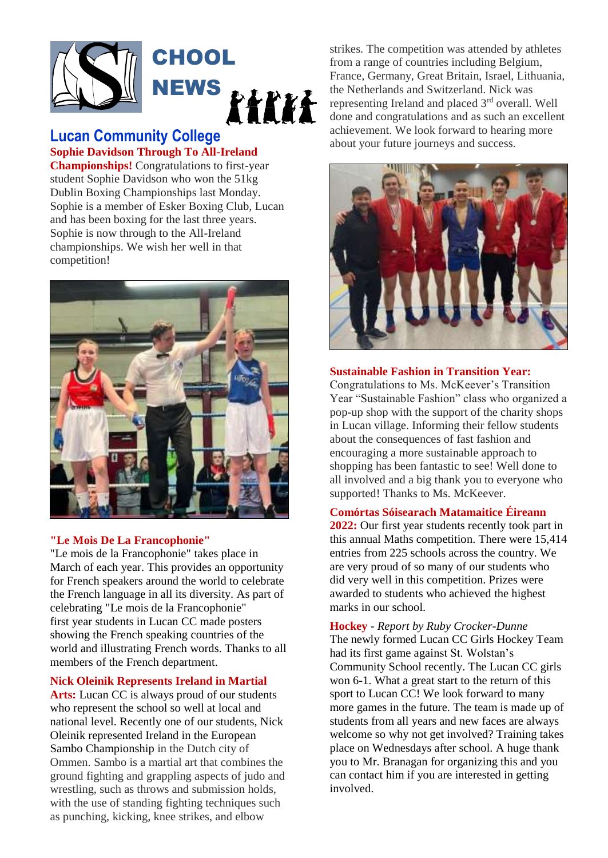

### **Lucan Community College Sophie Davidson Through To All-Ireland**

**Championships!** Congratulations to first-year student Sophie Davidson who won the 51kg Dublin Boxing Championships last Monday. Sophie is a member of Esker Boxing Club, Lucan and has been boxing for the last three years. Sophie is now through to the All-Ireland championships. We wish her well in that competition!



#### **"Le Mois De La Francophonie"**

"Le mois de la Francophonie" takes place in March of each year. This provides an opportunity for French speakers around the world to celebrate the French language in all its diversity. As part of celebrating "Le mois de la Francophonie" first year students in Lucan CC made posters showing the French speaking countries of the world and illustrating French words. Thanks to all members of the French department.

#### **Nick Oleinik Represents Ireland in Martial**

**Arts:** Lucan CC is always proud of our students who represent the school so well at local and national level. Recently one of our students, Nick Oleinik represented Ireland in the European Sambo Championship in the Dutch city of Ommen. Sambo is a martial art that combines the ground fighting and grappling aspects of judo and wrestling, such as throws and submission holds, with the use of standing fighting techniques such as punching, kicking, knee strikes, and elbow

strikes. The competition was attended by athletes from a range of countries including Belgium, France, Germany, Great Britain, Israel, Lithuania, the Netherlands and Switzerland. Nick was representing Ireland and placed 3rd overall. Well done and congratulations and as such an excellent achievement. We look forward to hearing more about your future journeys and success.



#### **Sustainable Fashion in Transition Year:**

Congratulations to Ms. McKeever's Transition Year "Sustainable Fashion" class who organized a pop-up shop with the support of the charity shops in Lucan village. Informing their fellow students about the consequences of fast fashion and encouraging a more sustainable approach to shopping has been fantastic to see! Well done to all involved and a big thank you to everyone who supported! Thanks to Ms. McKeever.

#### **Comórtas Sóisearach Matamaitice Éireann**

**2022:** Our first year students recently took part in this annual Maths competition. There were 15,414 entries from 225 schools across the country. We are very proud of so many of our students who did very well in this competition. Prizes were awarded to students who achieved the highest marks in our school.

**Hockey** - *Report by Ruby Crocker-Dunne* The newly formed Lucan CC Girls Hockey Team had its first game against St. Wolstan's Community School recently. The Lucan CC girls won 6-1. What a great start to the return of this sport to Lucan CC! We look forward to many more games in the future. The team is made up of students from all years and new faces are always welcome so why not get involved? Training takes place on Wednesdays after school. A huge thank you to Mr. Branagan for organizing this and you can contact him if you are interested in getting involved.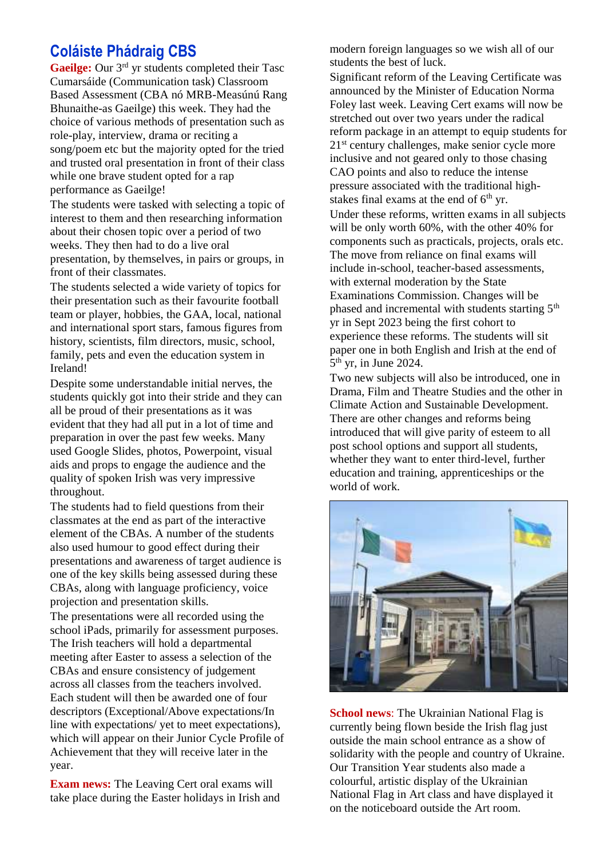### **Coláiste Phádraig CBS**

Gaeilge: Our 3<sup>rd</sup> yr students completed their Tasc Cumarsáide (Communication task) Classroom Based Assessment (CBA nó MRB-Measúnú Rang Bhunaithe-as Gaeilge) this week. They had the choice of various methods of presentation such as role-play, interview, drama or reciting a song/poem etc but the majority opted for the tried and trusted oral presentation in front of their class while one brave student opted for a rap performance as Gaeilge!

The students were tasked with selecting a topic of interest to them and then researching information about their chosen topic over a period of two weeks. They then had to do a live oral presentation, by themselves, in pairs or groups, in front of their classmates.

The students selected a wide variety of topics for their presentation such as their favourite football team or player, hobbies, the GAA, local, national and international sport stars, famous figures from history, scientists, film directors, music, school, family, pets and even the education system in Ireland!

Despite some understandable initial nerves, the students quickly got into their stride and they can all be proud of their presentations as it was evident that they had all put in a lot of time and preparation in over the past few weeks. Many used Google Slides, photos, Powerpoint, visual aids and props to engage the audience and the quality of spoken Irish was very impressive throughout.

The students had to field questions from their classmates at the end as part of the interactive element of the CBAs. A number of the students also used humour to good effect during their presentations and awareness of target audience is one of the key skills being assessed during these CBAs, along with language proficiency, voice projection and presentation skills.

The presentations were all recorded using the school iPads, primarily for assessment purposes. The Irish teachers will hold a departmental meeting after Easter to assess a selection of the CBAs and ensure consistency of judgement across all classes from the teachers involved. Each student will then be awarded one of four descriptors (Exceptional/Above expectations/In line with expectations/ yet to meet expectations), which will appear on their Junior Cycle Profile of Achievement that they will receive later in the year.

**Exam news:** The Leaving Cert oral exams will take place during the Easter holidays in Irish and modern foreign languages so we wish all of our students the best of luck.

Significant reform of the Leaving Certificate was announced by the Minister of Education Norma Foley last week. Leaving Cert exams will now be stretched out over two years under the radical reform package in an attempt to equip students for 21st century challenges, make senior cycle more inclusive and not geared only to those chasing CAO points and also to reduce the intense pressure associated with the traditional highstakes final exams at the end of  $6<sup>th</sup>$  yr. Under these reforms, written exams in all subjects will be only worth 60%, with the other 40% for components such as practicals, projects, orals etc. The move from reliance on final exams will include in-school, teacher-based assessments, with external moderation by the State Examinations Commission. Changes will be phased and incremental with students starting 5<sup>th</sup> yr in Sept 2023 being the first cohort to experience these reforms. The students will sit paper one in both English and Irish at the end of 5 th yr, in June 2024.

Two new subjects will also be introduced, one in Drama, Film and Theatre Studies and the other in Climate Action and Sustainable Development. There are other changes and reforms being introduced that will give parity of esteem to all post school options and support all students, whether they want to enter third-level, further education and training, apprenticeships or the world of work.



**School news**: The Ukrainian National Flag is currently being flown beside the Irish flag just outside the main school entrance as a show of solidarity with the people and country of Ukraine. Our Transition Year students also made a colourful, artistic display of the Ukrainian National Flag in Art class and have displayed it on the noticeboard outside the Art room.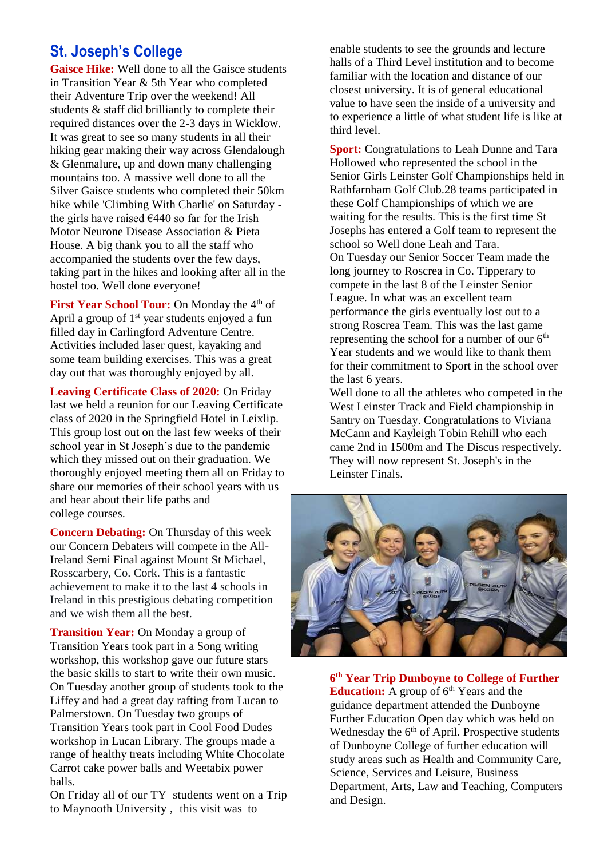### **St. Joseph's College**

**Gaisce Hike:** Well done to all the Gaisce students in Transition Year & 5th Year who completed their Adventure Trip over the weekend! All students & staff did brilliantly to complete their required distances over the 2-3 days in Wicklow. It was great to see so many students in all their hiking gear making their way across Glendalough & Glenmalure, up and down many challenging mountains too. A massive well done to all the Silver Gaisce students who completed their 50km hike while 'Climbing With Charlie' on Saturday the girls have raised  $6440$  so far for the Irish Motor Neurone Disease Association & Pieta House. A big thank you to all the staff who accompanied the students over the few days, taking part in the hikes and looking after all in the hostel too. Well done everyone!

First Year School Tour: On Monday the 4<sup>th</sup> of April a group of  $1<sup>st</sup>$  year students enjoyed a fun filled day in Carlingford Adventure Centre. Activities included laser quest, kayaking and some team building exercises. This was a great day out that was thoroughly enjoyed by all.

**Leaving Certificate Class of 2020:** On Friday last we held a reunion for our Leaving Certificate class of 2020 in the Springfield Hotel in Leixlip. This group lost out on the last few weeks of their school year in St Joseph's due to the pandemic which they missed out on their graduation. We thoroughly enjoyed meeting them all on Friday to share our memories of their school years with us and hear about their life paths and college courses.

**Concern Debating:** On Thursday of this week our Concern Debaters will compete in the All-Ireland Semi Final against Mount St Michael, Rosscarbery, Co. Cork. This is a fantastic achievement to make it to the last 4 schools in Ireland in this prestigious debating competition and we wish them all the best.

**Transition Year:** On Monday a group of Transition Years took part in a Song writing workshop, this workshop gave our future stars the basic skills to start to write their own music. On Tuesday another group of students took to the Liffey and had a great day rafting from Lucan to Palmerstown. On Tuesday two groups of Transition Years took part in Cool Food Dudes workshop in Lucan Library. The groups made a range of healthy treats including White Chocolate Carrot cake power balls and Weetabix power balls.

On Friday all of our TY students went on a Trip to Maynooth University , this visit was to

enable students to see the grounds and lecture halls of a Third Level institution and to become familiar with the location and distance of our closest university. It is of general educational value to have seen the inside of a university and to experience a little of what student life is like at third level.

**Sport:** Congratulations to Leah Dunne and Tara Hollowed who represented the school in the Senior Girls Leinster Golf Championships held in Rathfarnham Golf Club.28 teams participated in these Golf Championships of which we are waiting for the results. This is the first time St Josephs has entered a Golf team to represent the school so Well done Leah and Tara. On Tuesday our Senior Soccer Team made the long journey to Roscrea in Co. Tipperary to compete in the last 8 of the Leinster Senior League. In what was an excellent team performance the girls eventually lost out to a strong Roscrea Team. This was the last game representing the school for a number of our  $6<sup>th</sup>$ Year students and we would like to thank them for their commitment to Sport in the school over the last 6 years.

Well done to all the athletes who competed in the West Leinster Track and Field championship in Santry on Tuesday. Congratulations to Viviana McCann and Kayleigh Tobin Rehill who each came 2nd in 1500m and The Discus respectively. They will now represent St. Joseph's in the Leinster Finals.



**6 th Year Trip Dunboyne to College of Further Education:** A group of  $6<sup>th</sup>$  Years and the guidance department attended the Dunboyne Further Education Open day which was held on Wednesday the  $6<sup>th</sup>$  of April. Prospective students of Dunboyne College of further education will study areas such as Health and Community Care, Science, Services and Leisure, Business Department, Arts, Law and Teaching, Computers and Design.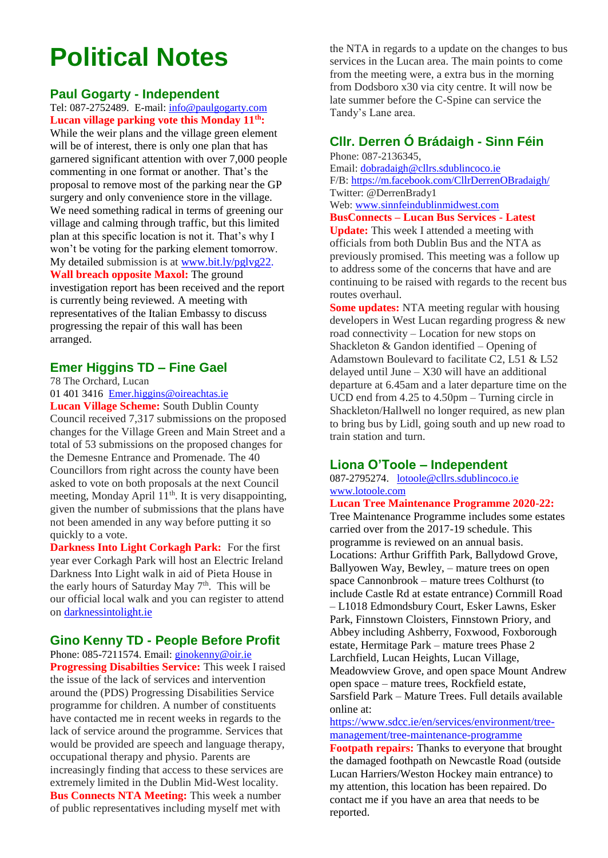# **Political Notes**

#### **Paul Gogarty - Independent**

#### Tel: 087-2752489. E-mail: [info@paulgogarty.com](mailto:info@paulgogarty.com) **Lucan village parking vote this Monday 11th:**

While the weir plans and the village green element will be of interest, there is only one plan that has garnered significant attention with over 7,000 people commenting in one format or another. That's the proposal to remove most of the parking near the GP surgery and only convenience store in the village. We need something radical in terms of greening our village and calming through traffic, but this limited plan at this specific location is not it. That's why I won't be voting for the parking element tomorrow. My detailed submission is at [www.bit.ly/pglvg22.](http://www.bit.ly/pglvg22) **Wall breach opposite Maxol:** The ground investigation report has been received and the report is currently being reviewed. A meeting with representatives of the Italian Embassy to discuss progressing the repair of this wall has been arranged.

#### **Emer Higgins TD – Fine Gael**

78 The Orchard, Lucan

[01 401 3416](tel:014013416) [Emer.higgins@oireachtas.ie](mailto:Emer.higgins@oireachtas.ie) **Lucan Village Scheme:** South Dublin County

Council received 7,317 submissions on the proposed changes for the Village Green and Main Street and a total of 53 submissions on the proposed changes for the Demesne Entrance and Promenade. The 40 Councillors from right across the county have been asked to vote on both proposals at the next Council meeting, Monday April  $11<sup>th</sup>$ . It is very disappointing, given the number of submissions that the plans have not been amended in any way before putting it so quickly to a vote.

**Darkness Into Light Corkagh Park:** For the first year ever Corkagh Park will host an Electric Ireland Darkness Into Light walk in aid of Pieta House in the early hours of Saturday May 7<sup>th</sup>. This will be our official local walk and you can register to attend on [darknessintolight.ie](http://darknessintolight.ie/)

#### **Gino Kenny TD - People Before Profit**

Phone: 085-7211574. Email: [ginokenny@oir.ie](mailto:ginokenny@oir.ie) **Progressing Disabilties Service:** This week I raised the issue of the lack of services and intervention around the (PDS) Progressing Disabilities Service programme for children. A number of constituents have contacted me in recent weeks in regards to the lack of service around the programme. Services that would be provided are speech and language therapy, occupational therapy and physio. Parents are increasingly finding that access to these services are extremely limited in the Dublin Mid-West locality. **Bus Connects NTA Meeting:** This week a number of public representatives including myself met with

the NTA in regards to a update on the changes to bus services in the Lucan area. The main points to come from the meeting were, a extra bus in the morning from Dodsboro x30 via city centre. It will now be late summer before the C-Spine can service the Tandy's Lane area.

### **Cllr. Derren Ó Brádaigh - Sinn Féin**

Phone: 087-2136345, Email: [dobradaigh@cllrs.sdublincoco.ie](mailto:dobradaigh@cllrs.sdublincoco.ie) F/B: <https://m.facebook.com/CllrDerrenOBradaigh/> Twitter: @DerrenBrady1 Web: [www.sinnfeindublinmidwest.com](http://www.sinnfeindublinmidwest.com/)

### **BusConnects – Lucan Bus Services - Latest**

**Update:** This week I attended a meeting with officials from both Dublin Bus and the NTA as previously promised. This meeting was a follow up to address some of the concerns that have and are continuing to be raised with regards to the recent bus routes overhaul.

**Some updates:** NTA meeting regular with housing developers in West Lucan regarding progress & new road connectivity – Location for new stops on Shackleton & Gandon identified – Opening of Adamstown Boulevard to facilitate C2, L51 & L52 delayed until June – X30 will have an additional departure at 6.45am and a later departure time on the UCD end from 4.25 to 4.50pm – Turning circle in Shackleton/Hallwell no longer required, as new plan to bring bus by Lidl, going south and up new road to train station and turn.

#### **Liona O'Toole – Independent**

087-2795274. [lotoole@cllrs.sdublincoco.ie](mailto:lotoole@cllrs.sdublincoco.ie) [www.lotoole.com](http://www.lotoole.com/)

#### **Lucan Tree Maintenance Programme 2020-22:**

Tree Maintenance Programme includes some estates carried over from the 2017-19 schedule. This programme is reviewed on an annual basis. Locations: Arthur Griffith Park, Ballydowd Grove, Ballyowen Way, Bewley, – mature trees on open space Cannonbrook – mature trees Colthurst (to include Castle Rd at estate entrance) Cornmill Road – L1018 Edmondsbury Court, Esker Lawns, Esker Park, Finnstown Cloisters, Finnstown Priory, and Abbey including Ashberry, Foxwood, Foxborough estate, Hermitage Park – mature trees Phase 2 Larchfield, Lucan Heights, Lucan Village, Meadowview Grove, and open space Mount Andrew open space – mature trees, Rockfield estate, Sarsfield Park – Mature Trees. Full details available online at:

[https://www.sdcc.ie/en/services/environment/tree](https://www.sdcc.ie/en/services/environment/tree-management/tree-maintenance-programme)[management/tree-maintenance-programme](https://www.sdcc.ie/en/services/environment/tree-management/tree-maintenance-programme)

**Footpath repairs:** Thanks to everyone that brought the damaged foothpath on Newcastle Road (outside Lucan Harriers/Weston Hockey main entrance) to my attention, this location has been repaired. Do contact me if you have an area that needs to be reported.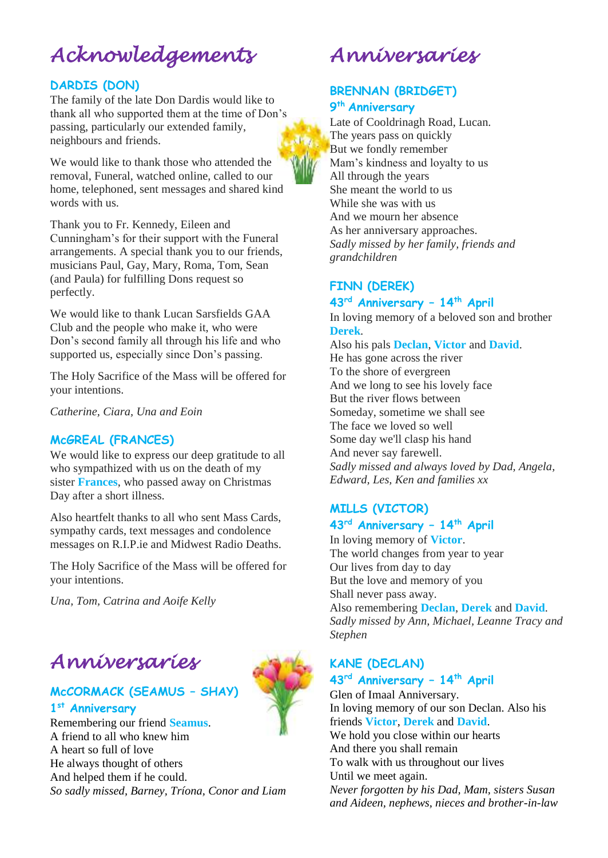## *Acknowledgements*

#### **DARDIS (DON)**

The family of the late Don Dardis would like to thank all who supported them at the time of Don's passing, particularly our extended family, neighbours and friends.

We would like to thank those who attended the removal, Funeral, watched online, called to our home, telephoned, sent messages and shared kind words with us.

Thank you to Fr. Kennedy, Eileen and Cunningham's for their support with the Funeral arrangements. A special thank you to our friends, musicians Paul, Gay, Mary, Roma, Tom, Sean (and Paula) for fulfilling Dons request so perfectly.

We would like to thank Lucan Sarsfields GAA Club and the people who make it, who were Don's second family all through his life and who supported us, especially since Don's passing.

The Holy Sacrifice of the Mass will be offered for your intentions.

*Catherine, Ciara, Una and Eoin*

#### **McGREAL (FRANCES)**

We would like to express our deep gratitude to all who sympathized with us on the death of my sister **Frances**, who passed away on Christmas Day after a short illness.

Also heartfelt thanks to all who sent Mass Cards, sympathy cards, text messages and condolence messages on R.I.P.ie and Midwest Radio Deaths.

The Holy Sacrifice of the Mass will be offered for your intentions.

*Una, Tom, Catrina and Aoife Kelly*

## *Anniversaries*

#### **McCORMACK (SEAMUS – SHAY) 1 st Anniversary**

Remembering our friend **Seamus**. A friend to all who knew him A heart so full of love He always thought of others And helped them if he could. *So sadly missed, Barney, Tríona, Conor and Liam*



#### **BRENNAN (BRIDGET) 9 th Anniversary**

Late of Cooldrinagh Road, Lucan. The years pass on quickly But we fondly remember Mam's kindness and loyalty to us All through the years She meant the world to us While she was with us And we mourn her absence As her anniversary approaches. *Sadly missed by her family, friends and grandchildren*

#### **FINN (DEREK)**

#### **43rd Anniversary – 14th April**

In loving memory of a beloved son and brother **Derek**.

Also his pals **Declan**, **Victor** and **David**. He has gone across the river To the shore of evergreen And we long to see his lovely face But the river flows between Someday, sometime we shall see The face we loved so well Some day we'll clasp his hand And never say farewell. *Sadly missed and always loved by Dad, Angela, Edward, Les, Ken and families xx*

### **MILLS (VICTOR)**

#### **43rd Anniversary – 14th April**

In loving memory of **Victor**. The world changes from year to year Our lives from day to day But the love and memory of you Shall never pass away. Also remembering **Declan**, **Derek** and **David**. *Sadly missed by Ann, Michael, Leanne Tracy and Stephen*

#### **KANE (DECLAN)**

**43rd Anniversary – 14th April**

Glen of Imaal Anniversary. In loving memory of our son Declan. Also his friends **Victor**, **Derek** and **David**. We hold you close within our hearts And there you shall remain To walk with us throughout our lives Until we meet again. *Never forgotten by his Dad, Mam, sisters Susan and Aideen, nephews, nieces and brother-in-law*

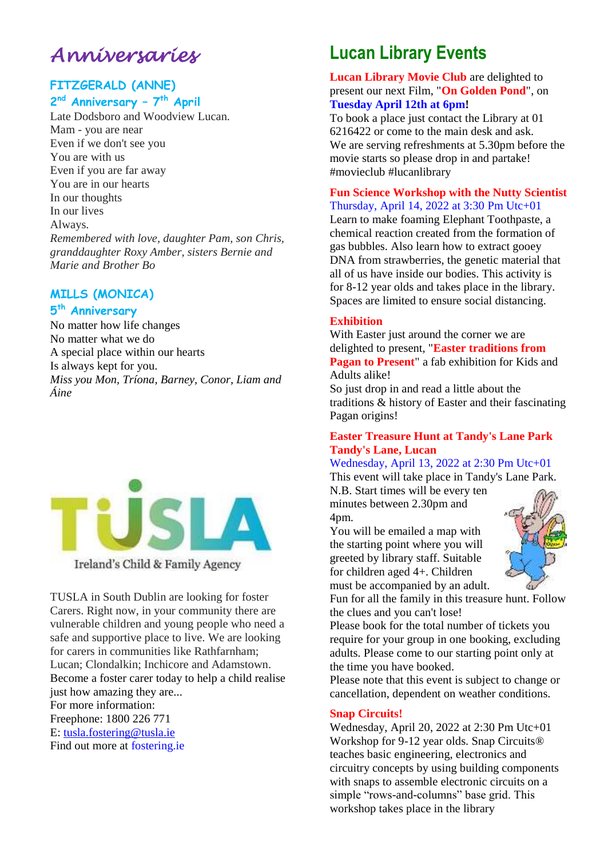## *Anniversaries*

### **FITZGERALD (ANNE)**

#### **2 nd Anniversary – 7 th April**

Late Dodsboro and Woodview Lucan. Mam - you are near Even if we don't see you You are with us Even if you are far away You are in our hearts In our thoughts In our lives Always. *Remembered with love, daughter Pam, son Chris, granddaughter Roxy Amber, sisters Bernie and Marie and Brother Bo*

#### **MILLS (MONICA)**

#### **5 th Anniversary**

No matter how life changes No matter what we do A special place within our hearts Is always kept for you. *Miss you Mon, Tríona, Barney, Conor, Liam and Áine*



Ireland's Child & Family Agency

TUSLA in South Dublin are looking for foster Carers. Right now, in your community there are vulnerable children and young people who need a safe and supportive place to live. We are looking for carers in communities like Rathfarnham; Lucan; Clondalkin; Inchicore and Adamstown. Become a foster carer today to help a child realise just how amazing they are... For more information: Freephone: 1800 226 771 E: [tusla.fostering@tusla.ie](mailto:tusla.fostering@tusla.ie) Find out more at fostering.ie

## **Lucan Library Events**

**Lucan Library Movie Club** are delighted to present our next Film, "**On Golden Pond**", on **Tuesday April 12th at 6pm!**

To book a place just contact the Library at 01 6216422 or come to the main desk and ask. We are serving refreshments at 5.30pm before the movie starts so please drop in and partake! #movieclub #lucanlibrary

#### **Fun Science Workshop with the Nutty Scientist**

Thursday, April 14, 2022 at 3:30 Pm Utc+01 Learn to make foaming Elephant Toothpaste, a chemical reaction created from the formation of gas bubbles. Also learn how to extract gooey DNA from strawberries, the genetic material that all of us have inside our bodies. This activity is for 8-12 year olds and takes place in the library. Spaces are limited to ensure social distancing.

#### **Exhibition**

With Easter just around the corner we are delighted to present, "**Easter traditions from Pagan to Present**" a fab exhibition for Kids and Adults alike!

So just drop in and read a little about the traditions & history of Easter and their fascinating Pagan origins!

#### **Easter Treasure Hunt at Tandy's Lane Park Tandy's Lane, Lucan**

#### Wednesday, April 13, 2022 at 2:30 Pm Utc+01

This event will take place in Tandy's Lane Park.

N.B. Start times will be every ten minutes between 2.30pm and 4pm.

You will be emailed a map with the starting point where you will greeted by library staff. Suitable for children aged 4+. Children must be accompanied by an adult.



Fun for all the family in this treasure hunt. Follow the clues and you can't lose!

Please book for the total number of tickets you require for your group in one booking, excluding adults. Please come to our starting point only at the time you have booked.

Please note that this event is subject to change or cancellation, dependent on weather conditions.

#### **Snap Circuits!**

Wednesday, April 20, 2022 at 2:30 Pm Utc+01 Workshop for 9-12 year olds. Snap Circuits® teaches basic engineering, electronics and circuitry concepts by using building components with snaps to assemble electronic circuits on a simple "rows-and-columns" base grid. This workshop takes place in the library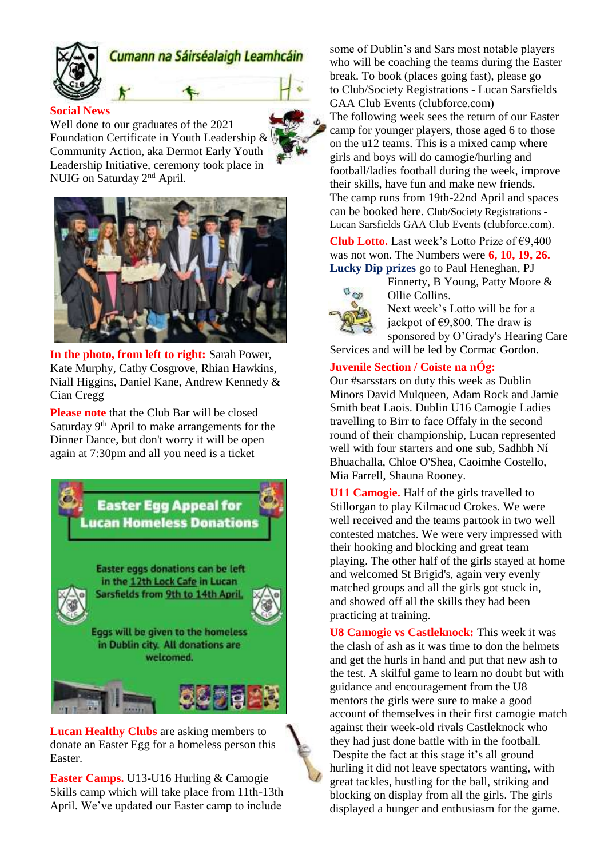

Well done to our graduates of the 2021 Foundation Certificate in Youth Leadership & Community Action, aka Dermot Early Youth Leadership Initiative, ceremony took place in NUIG on Saturday 2nd April.



**In the photo, from left to right:** Sarah Power, Kate Murphy, Cathy Cosgrove, Rhian Hawkins, Niall Higgins, Daniel Kane, Andrew Kennedy & Cian Cregg

**Please note** that the Club Bar will be closed Saturday 9<sup>th</sup> April to make arrangements for the Dinner Dance, but don't worry it will be open again at 7:30pm and all you need is a ticket



**Lucan Healthy Clubs** are asking members to donate an Easter Egg for a homeless person this Easter.

**Easter Camps.** U13-U16 Hurling & Camogie Skills camp which will take place from 11th-13th April. We've updated our Easter camp to include

some of Dublin's and Sars most notable players who will be coaching the teams during the Easter break. To book (places going fast), please go to [Club/Society Registrations -](https://member.clubforce.com/memberships_cart_m.asp?LL_ID=480&intMF_ID=10093#Anchor) Lucan Sarsfields [GAA Club Events \(clubforce.com\)](https://member.clubforce.com/memberships_cart_m.asp?LL_ID=480&intMF_ID=10093#Anchor) The following week sees the return of our Easter camp for younger players, those aged 6 to those on the u12 teams. This is a mixed camp where girls and boys will do camogie/hurling and football/ladies football during the week, improve their skills, have fun and make new friends. The camp runs from 19th-22nd April and spaces can be booked here. [Club/Society Registrations -](https://member.clubforce.com/memberships_cart_m.asp?LL_ID=480&intMF_ID=10087#Anchor) [Lucan Sarsfields GAA Club Events \(clubforce.com\).](https://member.clubforce.com/memberships_cart_m.asp?LL_ID=480&intMF_ID=10087#Anchor)

**Club Lotto.** Last week's Lotto Prize of €9,400 was not won. The Numbers were **6, 10, 19, 26. Lucky Dip prizes** go to Paul Heneghan, PJ



Finnerty, B Young, Patty Moore & Ollie Collins.

Next week's Lotto will be for a iackpot of €9,800. The draw is sponsored by O'Grady's Hearing Care

Services and will be led by Cormac Gordon.

#### **Juvenile Section / Coiste na nÓg:**

Our #sarsstars on duty this week as Dublin Minors David Mulqueen, Adam Rock and Jamie Smith beat Laois. Dublin U16 Camogie Ladies travelling to Birr to face Offaly in the second round of their championship, Lucan represented well with four starters and one sub, Sadhbh Ní Bhuachalla, Chloe O'Shea, Caoimhe Costello, Mia Farrell, Shauna Rooney.

**U11 Camogie.** Half of the girls travelled to Stillorgan to play Kilmacud Crokes. We were well received and the teams partook in two well contested matches. We were very impressed with their hooking and blocking and great team playing. The other half of the girls stayed at home and welcomed St Brigid's, again very evenly matched groups and all the girls got stuck in, and showed off all the skills they had been practicing at training.

**U8 Camogie vs Castleknock:** This week it was the clash of ash as it was time to don the helmets and get the hurls in hand and put that new ash to the test. A skilful game to learn no doubt but with guidance and encouragement from the U8 mentors the girls were sure to make a good account of themselves in their first camogie match against their week-old rivals Castleknock who they had just done battle with in the football. Despite the fact at this stage it's all ground hurling it did not leave spectators wanting, with great tackles, hustling for the ball, striking and blocking on display from all the girls. The girls displayed a hunger and enthusiasm for the game.